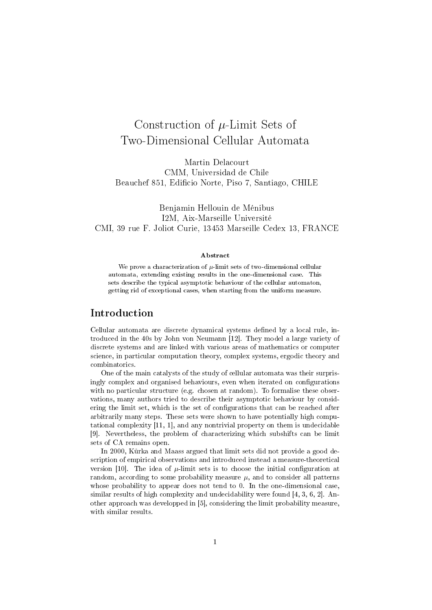# Construction of  $\mu$ -Limit Sets of Two-Dimensional Cellular Automata

Martin Delacourt CMM, Universidad de Chile Beauchef 851, Edificio Norte, Piso 7, Santiago, CHILE

Benjamin Hellouin de Ménibus I2M, Aix-Marseille Université CMI, 39 rue F. Joliot Curie, 13453 Marseille Cedex 13, FRANCE

#### Abstract

We prove a characterization of  $\mu$ -limit sets of two-dimensional cellular automata, extending existing results in the one-dimensional case. This sets describe the typical asymptotic behaviour of the cellular automaton, getting rid of exceptional cases, when starting from the uniform measure.

# Introduction

Cellular automata are discrete dynamical systems defined by a local rule, introduced in the 40s by John von Neumann [12]. They model a large variety of discrete systems and are linked with various areas of mathematics or computer science, in particular computation theory, complex systems, ergodic theory and combinatorics.

One of the main catalysts of the study of cellular automata was their surprisingly complex and organised behaviours, even when iterated on configurations with no particular structure (e.g. chosen at random). To formalise these observations, many authors tried to describe their asymptotic behaviour by considering the limit set, which is the set of configurations that can be reached after arbitrarily many steps. These sets were shown to have potentially high computational complexity [11, 1], and any nontrivial property on them is undecidable [9]. Nevertheless, the problem of characterizing which subshifts can be limit sets of CA remains open.

In 2000, Kurka and Maass argued that limit sets did not provide a good description of empirical observations and introduced instead a measure-theoretical version [10]. The idea of  $\mu$ -limit sets is to choose the initial configuration at random, according to some probability measure  $\mu$ , and to consider all patterns whose probability to appear does not tend to 0. In the one-dimensional case, similar results of high complexity and undecidability were found [4, 3, 6, 2]. Another approach was developped in [5], considering the limit probability measure, with similar results.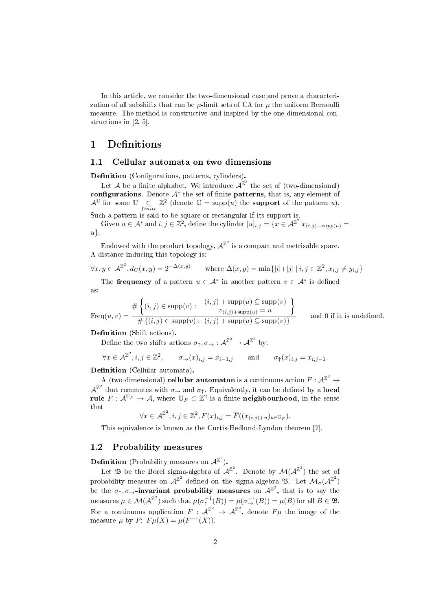In this article, we consider the two-dimensional case and prove a characterization of all subshifts that can be  $\mu$ -limit sets of CA for  $\mu$  the uniform Bernoulli measure. The method is constructive and inspired by the one-dimensional constructions in [2, 5].

# 1 Definitions

#### 1.1 Cellular automata on two dimensions

Definition (Configurations, patterns, cylinders).

Let A be a finite alphabet. We introduce  $A^{\mathbb{Z}^2}$  the set of (two-dimensional) configurations. Denote  $A^*$  the set of finite patterns, that is, any element of  $\mathcal{A}^{\mathbb{U}}$  for some  $\mathbb{U}$   $\subsetq$  finite  $\mathbb{Z}^2$  (denote  $\mathbb{U} = \text{supp}(u)$  the **support** of the pattern u).

Such a pattern is said to be square or rectangular if its support is.

Given  $u \in A^*$  and  $i, j \in \mathbb{Z}^2$ , define the cylinder  $[u]_{i,j} = \{x \in A^{\mathbb{Z}^2} x_{(i,j)+supp(u)} =$ u}.

Endowed with the product topology,  $\mathcal{A}^{\mathbb{Z}^2}$  is a compact and metrisable space. A distance inducing this topology is:

$$
\forall x, y \in \mathcal{A}^{\mathbb{Z}^2}, d_C(x, y) = 2^{-\Delta(x, y)} \qquad \text{where } \Delta(x, y) = \min\{|i| + |j| \mid i, j \in \mathbb{Z}^2, x_{i, j} \neq y_{i, j}\}\
$$

The **frequency** of a pattern  $u \in \mathcal{A}^*$  in another pattern  $v \in \mathcal{A}^*$  is defined as:

$$
Freq(u, v) = \frac{\#\left\{(i, j) \in \text{supp}(v) : \begin{array}{c} (i, j) + \text{supp}(u) \subseteq \text{supp}(v) \\ v_{(i, j) + \text{supp}(u)} = u \end{array}\right\}}{\#\left\{(i, j) \in \text{supp}(v) : (i, j) + \text{supp}(u) \subseteq \text{supp}(v)\right\}}
$$

and  $0$  if it is undefined.

#### Definition (Shift actions).

Define the two shifts actions  $\sigma_{\uparrow}, \sigma_{\rightarrow} : \mathcal{A}^{\mathbb{Z}^2} \to \mathcal{A}^{\mathbb{Z}^2}$  by:

$$
\forall x \in \mathcal{A}^{\mathbb{Z}^2}, i, j \in \mathbb{Z}^2, \qquad \sigma_{\to}(x)_{i,j} = x_{i-1,j} \qquad \text{and} \qquad \sigma_{\uparrow}(x)_{i,j} = x_{i,j-1}.
$$

Definition (Cellular automata).

 $\hat{A} \text{ (two-dimensional) cellular automaton is a continuous action } F: \mathcal{A}^{\mathbb{Z}^2} \to \mathcal{A}^{\mathbb{Z}^2}$  $\mathcal{A}^{\mathbb{Z}^2}$  that commutes with  $\sigma_{\rightarrow}$  and  $\sigma_{\uparrow}$ . Equivalently, it can be defined by a **local** rule  $\overline{F}: \mathcal{A}^{\mathbb{U}_F} \to \mathcal{A}$ , where  $\mathbb{U}_F \subset \mathbb{Z}^2$  is a finite neighbourhood, in the sense that

$$
\forall x \in \mathcal{A}^{\mathbb{Z}^2}, i, j \in \mathbb{Z}^2, F(x)_{i,j} = \overline{F}((x_{(i,j)+u})_{u \in \mathbb{U}_F}).
$$

This equivalence is known as the Curtis-Hedlund-Lyndon theorem [7].

### 1.2 Probability measures

**Definition** (Probability measures on  $\mathcal{A}^{\mathbb{Z}^2}$ ).

Let  $\mathfrak B$  be the Borel sigma-algebra of  $\mathcal{A}^{\mathbb{Z}^2}$ . Denote by  $\mathcal{M}(\mathcal{A}^{\mathbb{Z}^2})$  the set of probability measures on  $\mathcal{A}^{\mathbb{Z}^2}$  defined on the sigma-algebra  $\mathfrak{B}$ . Let  $\mathcal{M}_{\sigma}(\mathcal{A}^{\mathbb{Z}^2})$ be the  $\sigma_{\uparrow}, \sigma_{\rightarrow}$ -invariant probability measures on  $\mathcal{A}^{\mathbb{Z}^2}$ , that is to say the measures  $\mu \in \mathcal{M}(\mathcal{A}^{\mathbb{Z}^2})$  such that  $\mu(\sigma^{-1}_{\uparrow}(B)) = \mu(\sigma^{-1}_{\rightarrow}(B)) = \mu(B)$  for all  $B \in \mathfrak{B}$ . For a continuous application  $F: \mathcal{A}^{\mathbb{Z}^2} \to \mathcal{A}^{\mathbb{Z}^2}$ , denote  $F\mu$  the image of the measure  $\mu$  by  $F: F\mu(X) = \mu(F^{-1}(X)).$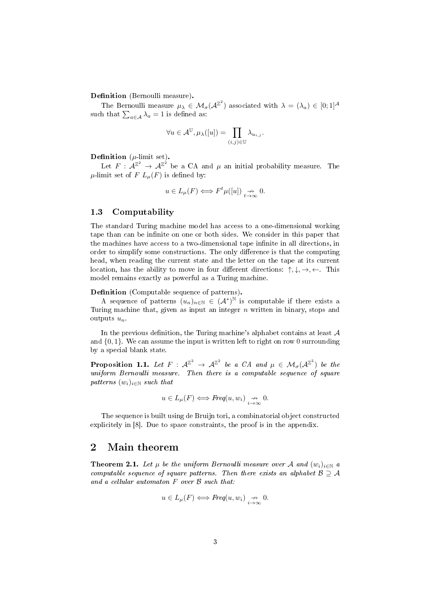Definition (Bernoulli measure).

The Bernoulli measure  $\mu_{\lambda} \in \mathcal{M}_{\sigma}(\mathcal{A}^{\mathbb{Z}^2})$  associated with  $\lambda = (\lambda_a) \in [0;1]^{\mathcal{A}}$ such that  $\sum_{a \in \mathcal{A}} \lambda_a = 1$  is defined as:

$$
\forall u \in \mathcal{A}^{\mathbb{U}}, \mu_{\lambda}([u]) = \prod_{(i,j) \in \mathbb{U}} \lambda_{u_{i,j}}.
$$

#### **Definition** ( $\mu$ -limit set).

Let  $F: \mathcal{A}^{\mathbb{Z}^2} \to \mathcal{A}^{\mathbb{Z}^2}$  be a CA and  $\mu$  an initial probability measure. The  $\mu$ -limit set of F  $L_{\mu}(F)$  is defined by:

$$
u \in L_{\mu}(F) \Longleftrightarrow F^{t} \mu([u]) \underset{t \to \infty}{\nrightarrow} 0.
$$

## 1.3 Computability

The standard Turing machine model has access to a one-dimensional working tape than can be infinite on one or both sides. We consider in this paper that the machines have access to a two-dimensional tape infinite in all directions, in order to simplify some constructions. The only difference is that the computing head, when reading the current state and the letter on the tape at its current location, has the ability to move in four different directions:  $\uparrow, \downarrow, \rightarrow, \leftarrow$ . This model remains exactly as powerful as a Turing machine.

Definition (Computable sequence of patterns).

A sequence of patterns  $(u_n)_{n\in\mathbb{N}} \in (\mathcal{A}^*)^{\mathbb{N}}$  is computable if there exists a Turing machine that, given as input an integer  $n$  written in binary, stops and outputs  $u_n$ .

In the previous definition, the Turing machine's alphabet contains at least  $A$ and  $\{0, 1\}$ . We can assume the input is written left to right on row 0 surrounding by a special blank state.

**Proposition 1.1.** Let  $F: \mathcal{A}^{\mathbb{Z}^2} \to \mathcal{A}^{\mathbb{Z}^2}$  be a CA and  $\mu \in \mathcal{M}_{\sigma}(\mathcal{A}^{\mathbb{Z}^2})$  be the uniform Bernoulli measure. Then there is a computable sequence of square patterns  $(w_i)_{i\in\mathbb{N}}$  such that

$$
u \in L_{\mu}(F) \Longleftrightarrow \text{Freq}(u, w_i) \underset{i \to \infty}{\nrightarrow} 0.
$$

The sequence is built using de Bruijn tori, a combinatorial object constructed explicitely in [8]. Due to space constraints, the proof is in the appendix.

# 2 Main theorem

**Theorem 2.1.** Let  $\mu$  be the uniform Bernoulli measure over A and  $(w_i)_{i \in \mathbb{N}}$  a computable sequence of square patterns. Then there exists an alphabet  $\mathcal{B} \supseteq \mathcal{A}$ and a cellular automaton  $F$  over  $\beta$  such that:

$$
u \in L_{\mu}(F) \Longleftrightarrow \text{Freq}(u, w_i) \underset{i \to \infty}{\nrightarrow} 0.
$$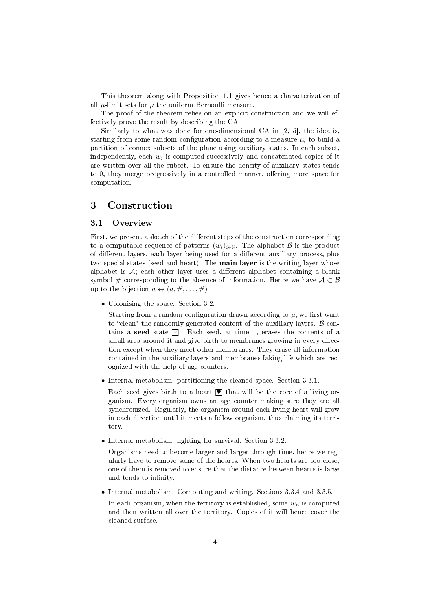This theorem along with Proposition 1.1 gives hence a characterization of all  $\mu$ -limit sets for  $\mu$  the uniform Bernoulli measure.

The proof of the theorem relies on an explicit construction and we will effectively prove the result by describing the CA.

Similarly to what was done for one-dimensional CA in [2, 5], the idea is, starting from some random configuration according to a measure  $\mu$ , to build a partition of connex subsets of the plane using auxiliary states. In each subset, independently, each  $w_i$  is computed successively and concatenated copies of it are written over all the subset. To ensure the density of auxiliary states tends to 0, they merge progressively in a controlled manner, offering more space for computation.

# 3 Construction

#### 3.1 Overview

First, we present a sketch of the different steps of the construction corresponding to a computable sequence of patterns  $(w_i)_{i\in\mathbb{N}}$ . The alphabet  $\beta$  is the product of different layers, each layer being used for a different auxiliary process, plus two special states (seed and heart). The main layer is the writing layer whose alphabet is  $A$ ; each other layer uses a different alphabet containing a blank symbol # corresponding to the absence of information. Hence we have  $A \subset \mathcal{B}$ up to the bijection  $a \leftrightarrow (a, \#, \ldots, \#)$ .

• Colonising the space: Section 3.2.

Starting from a random configuration drawn according to  $\mu$ , we first want to "clean" the randomly generated content of the auxiliary layers.  $\beta$  contains a seed state  $*$ . Each seed, at time 1, erases the contents of a small area around it and give birth to membranes growing in every direction except when they meet other membranes. They erase all information contained in the auxiliary layers and membranes faking life which are recognized with the help of age counters.

• Internal metabolism: partitioning the cleaned space. Section 3.3.1.

Each seed gives birth to a heart  $\blacksquare$  that will be the core of a living organism. Every organism owns an age counter making sure they are all synchronized. Regularly, the organism around each living heart will grow in each direction until it meets a fellow organism, thus claiming its territory.

• Internal metabolism: fighting for survival. Section  $3.3.2$ .

Organisms need to become larger and larger through time, hence we regularly have to remove some of the hearts. When two hearts are too close, one of them is removed to ensure that the distance between hearts is large and tends to infinity.

• Internal metabolism: Computing and writing. Sections 3.3.4 and 3.3.5.

In each organism, when the territory is established, some  $w_n$  is computed and then written all over the territory. Copies of it will hence cover the cleaned surface.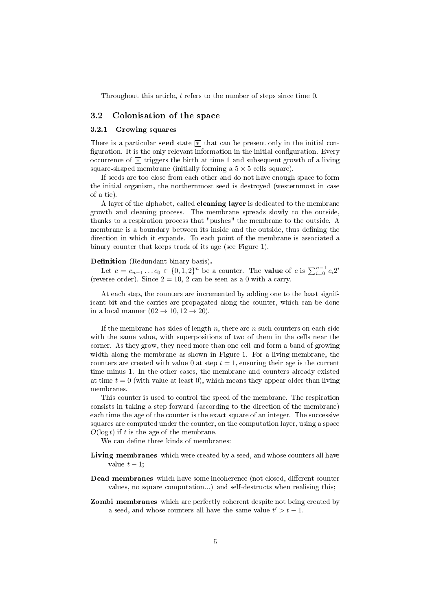Throughout this article, t refers to the number of steps since time 0.

#### 3.2 Colonisation of the space

#### 3.2.1 Growing squares

There is a particular seed state  $*$  that can be present only in the initial configuration. It is the only relevant information in the initial configuration. Every occurrence of  $\boxed{\ast}$  triggers the birth at time 1 and subsequent growth of a living square-shaped membrane (initially forming a  $5 \times 5$  cells square).

If seeds are too close from each other and do not have enough space to form the initial organism, the northernmost seed is destroyed (westernmost in case of a tie).

A layer of the alphabet, called cleaning layer is dedicated to the membrane growth and cleaning process. The membrane spreads slowly to the outside, thanks to a respiration process that "pushes" the membrane to the outside. A membrane is a boundary between its inside and the outside, thus defining the direction in which it expands. To each point of the membrane is associated a binary counter that keeps track of its age (see Figure 1).

#### Definition (Redundant binary basis).

Let  $c = c_{n-1} \ldots c_0 \in \{0, 1, 2\}^n$  be a counter. The **value** of c is  $\sum_{i=0}^{n-1} c_i 2^i$ (reverse order). Since  $2 = 10, 2$  can be seen as a 0 with a carry.

At each step, the counters are incremented by adding one to the least significant bit and the carries are propagated along the counter, which can be done in a local manner  $(02 \rightarrow 10, 12 \rightarrow 20)$ .

If the membrane has sides of length  $n$ , there are  $n$  such counters on each side with the same value, with superpositions of two of them in the cells near the corner. As they grow, they need more than one cell and form a band of growing width along the membrane as shown in Figure 1. For a living membrane, the counters are created with value 0 at step  $t = 1$ , ensuring their age is the current time minus 1. In the other cases, the membrane and counters already existed at time  $t = 0$  (with value at least 0), which means they appear older than living membranes.

This counter is used to control the speed of the membrane. The respiration consists in taking a step forward (according to the direction of the membrane) each time the age of the counter is the exact square of an integer. The successive squares are computed under the counter, on the computation layer, using a space  $O(\log t)$  if t is the age of the membrane.

We can define three kinds of membranes:

- Living membranes which were created by a seed, and whose counters all have value  $t - 1$ ;
- Dead membranes which have some incoherence (not closed, different counter values, no square computation...) and self-destructs when realising this;
- Zombi membranes which are perfectly coherent despite not being created by a seed, and whose counters all have the same value  $t' > t - 1$ .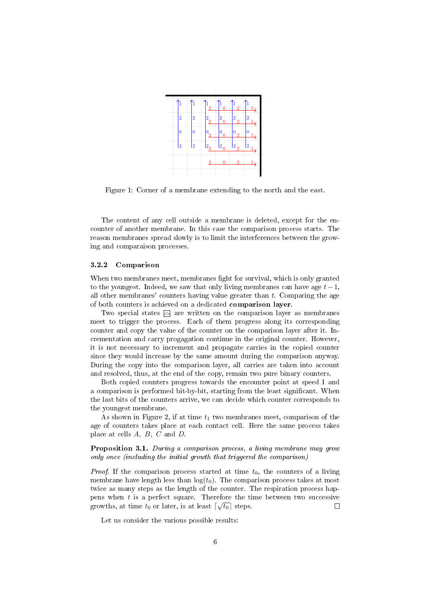

Figure 1: Corner of a membrane extending to the north and the east.

The content of any cell outside a membrane is deleted, except for the encounter of another membrane. In this case the comparison process starts. The reason membranes spread slowly is to limit the interferences between the growing and comparaison processes.

#### 3.2.2 Comparison

When two membranes meet, membranes fight for survival, which is only granted to the youngest. Indeed, we saw that only living membranes can have age  $t-1$ , all other membranes' counters having value greater than  $t$ . Comparing the age of both counters is achieved on a dedicated comparison layer.

Two special states  $\triangle$  are written on the comparison layer as membranes meet to trigger the process. Each of them progress along its corresponding counter and copy the value of the counter on the comparison layer after it. Incrementation and carry progagation continue in the original counter. However, it is not necessary to increment and propagate carries in the copied counter since they would increase by the same amount during the comparison anyway. During the copy into the comparison layer, all carries are taken into account and resolved, thus, at the end of the copy, remain two pure binary counters.

Both copied counters progress towards the encounter point at speed 1 and a comparison is performed bit-by-bit, starting from the least signicant. When the last bits of the counters arrive, we can decide which counter corresponds to the youngest membrane.

As shown in Figure 2, if at time  $t_1$  two membranes meet, comparison of the age of counters takes place at each contact cell. Here the same process takes place at cells A, B, C and D.

Proposition 3.1. During a comparison process, a living membrane may grow only once (including the initial growth that triggered the comparison)

*Proof.* If the comparison process started at time  $t_0$ , the counters of a living membrane have length less than  $log(t_0)$ . The comparison process takes at most twice as many steps as the length of the counter. The respiration process happens when  $t$  is a perfect square. Therefore the time between two successive growths, at time  $t_0$  or later, is at least  $\lceil \sqrt{t_0} \rceil$  steps. П

Let us consider the various possible results: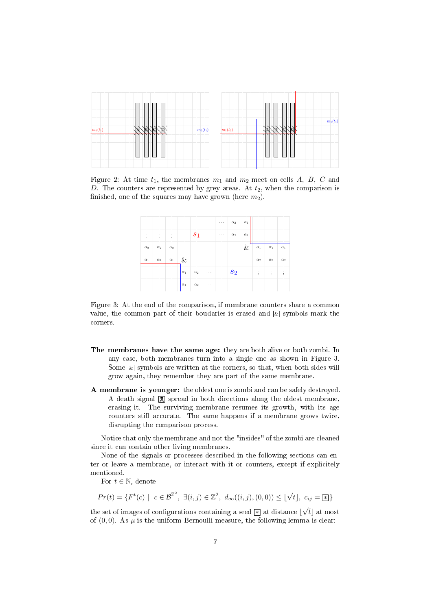

Figure 2: At time  $t_1$ , the membranes  $m_1$  and  $m_2$  meet on cells A, B, C and D. The counters are represented by grey areas. At  $t_2$ , when the comparison is finished, one of the squares may have grown (here  $m_2$ ).

|            |                                                                                               |              |            |            |          |                      | $\cdots$ $\alpha_2$ | $\alpha_1$ |               |                |            |
|------------|-----------------------------------------------------------------------------------------------|--------------|------------|------------|----------|----------------------|---------------------|------------|---------------|----------------|------------|
|            | $\frac{1}{2}$ , $\frac{1}{2}$ , $\frac{1}{2}$ , $\frac{1}{2}$ , $\frac{1}{2}$ , $\frac{1}{2}$ |              |            | $ s_1 $    |          | $\sim$ $\sim$ $\sim$ | $\alpha_2$          | $\alpha_1$ |               |                |            |
| $\alpha_2$ | $\alpha_2$                                                                                    | $\alpha_2$   |            |            |          |                      |                     | $\&$       | $\alpha_1$    | $\alpha_1$     | $\alpha_1$ |
| $\alpha_1$ | $\alpha_1$                                                                                    | $\alpha_1$ & |            |            |          |                      |                     |            | $\alpha_2$    | $\alpha_2$     | $\alpha_2$ |
|            |                                                                                               |              | $\alpha_1$ | $\alpha_2$ | $\cdots$ |                      | $s_2$               |            | $\pm$ $^{-1}$ | $\sim 10^{-5}$ | - E        |
|            |                                                                                               |              | $\alpha_1$ | $\alpha_2$ | $\cdots$ |                      |                     |            |               |                |            |

Figure 3: At the end of the comparison, if membrane counters share a common value, the common part of their boudaries is erased and  $\&$  symbols mark the corners.

- The membranes have the same age: they are both alive or both zombi. In any case, both membranes turn into a single one as shown in Figure 3. Some  $\&$  symbols are written at the corners, so that, when both sides will grow again, they remember they are part of the same membrane.
- A membrane is younger: the oldest one is zombi and can be safely destroyed. A death signal **A** spread in both directions along the oldest membrane, erasing it. The surviving membrane resumes its growth, with its age counters still accurate. The same happens if a membrane grows twice, disrupting the comparison process.

Notice that only the membrane and not the "insides" of the zombi are cleaned since it can contain other living membranes.

None of the signals or processes described in the following sections can enter or leave a membrane, or interact with it or counters, except if explicitely mentioned.

For  $t \in \mathbb{N}$ , denote

$$
Pr(t) = \{ F^t(c) \mid c \in \mathcal{B}^{\mathbb{Z}^2}, \ \exists (i, j) \in \mathbb{Z}^2, \ d_{\infty}((i, j), (0, 0)) \leq \lfloor \sqrt{t} \rfloor, \ c_{ij} = \lceil \frac{1}{2} \rceil \}
$$

the set of images of configurations containing a seed  $\boxed*$  at distance  $\lfloor \sqrt{t} \rfloor$  at most of  $(0, 0)$ . As  $\mu$  is the uniform Bernoulli measure, the following lemma is clear: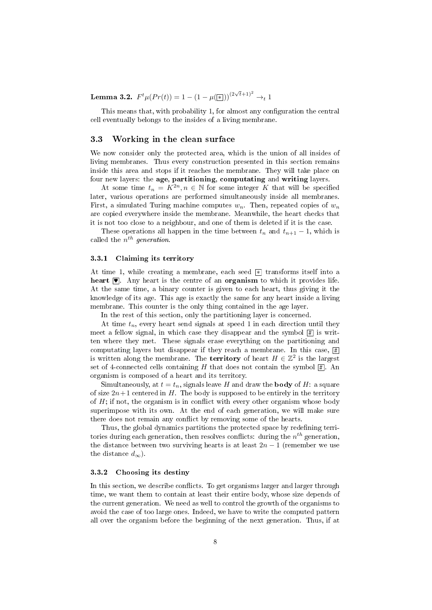Lemma 3.2.  $F^t \mu(Pr(t)) = 1 - (1 - \mu(\mathbf{x}))^{(2\sqrt{t}+1)^2} \rightarrow_t 1$ 

This means that, with probability 1, for almost any configuration the central cell eventually belongs to the insides of a living membrane.

#### 3.3 Working in the clean surface

We now consider only the protected area, which is the union of all insides of living membranes. Thus every construction presented in this section remains inside this area and stops if it reaches the membrane. They will take place on four new layers: the age, partitioning, computating and writing layers.

At some time  $t_n = K^{2n}, n \in \mathbb{N}$  for some integer K that will be specified later, various operations are performed simultaneously inside all membranes. First, a simulated Turing machine computes  $w_n$ . Then, repeated copies of  $w_n$ are copied everywhere inside the membrane. Meanwhile, the heart checks that it is not too close to a neighbour, and one of them is deleted if it is the case.

These operations all happen in the time between  $t_n$  and  $t_{n+1} - 1$ , which is called the  $n^{th}$  generation.

#### 3.3.1 Claiming its territory

At time 1, while creating a membrane, each seed  $\boxed{\ast}$  transforms itself into a heart  $\blacksquare$ . Any heart is the centre of an organism to which it provides life. At the same time, a binary counter is given to each heart, thus giving it the knowledge of its age. This age is exactly the same for any heart inside a living membrane. This counter is the only thing contained in the age layer.

In the rest of this section, only the partitioning layer is concerned.

At time  $t_n$ , every heart send signals at speed 1 in each direction until they meet a fellow signal, in which case they disappear and the symbol  $\boxed{\text{\#}}$  is written where they met. These signals erase everything on the partitioning and computating layers but disappear if they reach a membrane. In this case,  $\boxed{\#}$ is written along the membrane. The **territory** of heart  $H \in \mathbb{Z}^2$  is the largest set of 4-connected cells containing  $H$  that does not contain the symbol  $\boxed{\#}$ . An organism is composed of a heart and its territory.

Simultaneously, at  $t = t_n$ , signals leave H and draw the **body** of H: a square of size  $2n+1$  centered in H. The body is supposed to be entirely in the territory of  $H$ ; if not, the organism is in conflict with every other organism whose body superimpose with its own. At the end of each generation, we will make sure there does not remain any conflict by removing some of the hearts.

Thus, the global dynamics partitions the protected space by redefining territories during each generation, then resolves conflicts: during the  $n^{th}$  generation, the distance between two surviving hearts is at least  $2n-1$  (remember we use the distance  $d_{\infty}$ ).

#### 3.3.2 Choosing its destiny

In this section, we describe conflicts. To get organisms larger and larger through time, we want them to contain at least their entire body, whose size depends of the current generation. We need as well to control the growth of the organisms to avoid the case of too large ones. Indeed, we have to write the computed pattern all over the organism before the beginning of the next generation. Thus, if at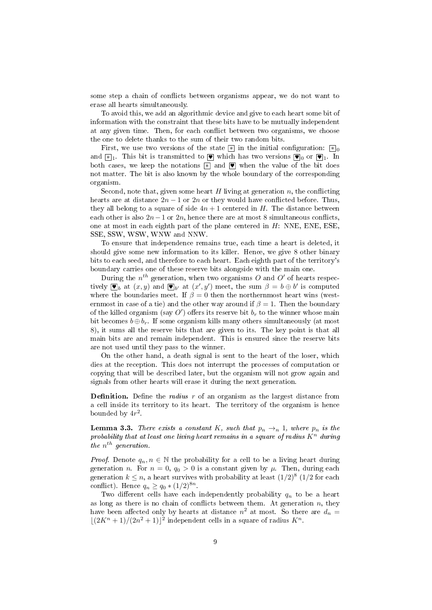some step a chain of conflicts between organisms appear, we do not want to erase all hearts simultaneously.

To avoid this, we add an algorithmic device and give to each heart some bit of information with the constraint that these bits have to be mutually independent at any given time. Then, for each conflict between two organisms, we choose the one to delete thanks to the sum of their two random bits.

First, we use two versions of the state  $*$  in the initial configuration:  $*$ <sub>0</sub> and  $\mathbb{F}_1$ . This bit is transmitted to  $\bullet$  which has two versions  $\bullet$  or  $\bullet$  1. In both cases, we keep the notations  $\mathbb{R}$  and  $\bullet$  when the value of the bit does not matter. The bit is also known by the whole boundary of the corresponding organism.

Second, note that, given some heart  $H$  living at generation  $n$ , the conflicting hearts are at distance  $2n - 1$  or  $2n$  or they would have conflicted before. Thus, they all belong to a square of side  $4n + 1$  centered in H. The distance between each other is also  $2n-1$  or  $2n$ , hence there are at most 8 simultaneous conflicts, one at most in each eighth part of the plane centered in  $H$ : NNE, ENE, ESE, SSE, SSW, WSW, WNW and NNW.

To ensure that independence remains true, each time a heart is deleted, it should give some new information to its killer. Hence, we give 8 other binary bits to each seed, and therefore to each heart. Each eighth part of the territory's boundary carries one of these reserve bits alongside with the main one.

During the  $n^{th}$  generation, when two organisms O and O' of hearts respectively  $\blacksquare_b$  at  $(x, y)$  and  $\blacksquare_{b'}$  at  $(x', y')$  meet, the sum  $\beta = b \oplus b'$  is computed where the boundaries meet. If  $\beta = 0$  then the northernmost heart wins (westernmost in case of a tie) and the other way around if  $\beta = 1$ . Then the boundary of the killed organism (say  $O'$ ) offers its reserve bit  $b_r$  to the winner whose main bit becomes  $b \oplus b_r$ . If some organism kills many others simultaneously (at most 8), it sums all the reserve bits that are given to its. The key point is that all main bits are and remain independent. This is ensured since the reserve bits are not used until they pass to the winner.

On the other hand, a death signal is sent to the heart of the loser, which dies at the reception. This does not interrupt the processes of computation or copying that will be described later, but the organism will not grow again and signals from other hearts will erase it during the next generation.

**Definition.** Define the *radius*  $r$  of an organism as the largest distance from a cell inside its territory to its heart. The territory of the organism is hence bounded by  $4r^2$ .

**Lemma 3.3.** There exists a constant K, such that  $p_n \to_n 1$ , where  $p_n$  is the probability that at least one living heart remains in a square of radius  $K<sup>n</sup>$  during the  $n^{th}$  generation.

*Proof.* Denote  $q_n, n \in \mathbb{N}$  the probability for a cell to be a living heart during generation n. For  $n = 0$ ,  $q_0 > 0$  is a constant given by  $\mu$ . Then, during each generation  $k \leq n$ , a heart survives with probability at least  $(1/2)^8$   $(1/2$  for each conflict). Hence  $q_n \geq q_0 * (1/2)^{8n}$ .

Two different cells have each independently probability  $q_n$  to be a heart as long as there is no chain of conflicts between them. At generation  $n$ , they have been affected only by hearts at distance  $n^2$  at most. So there are  $d_n =$  $\lfloor (2K^n + 1)/(2n^2 + 1) \rfloor^2$  independent cells in a square of radius  $K^n$ .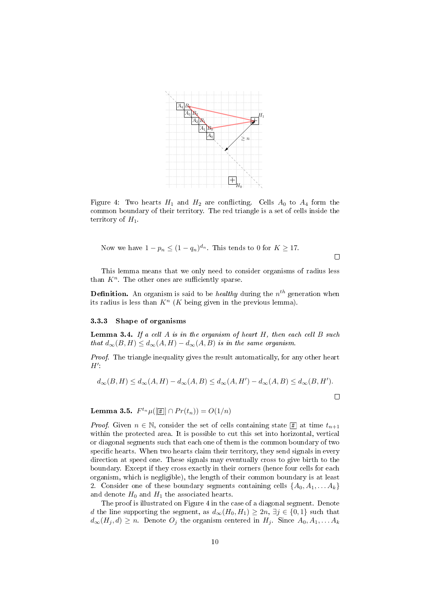

Figure 4: Two hearts  $H_1$  and  $H_2$  are conflicting. Cells  $A_0$  to  $A_4$  form the common boundary of their territory. The red triangle is a set of cells inside the territory of  $H_1$ .

Now we have 
$$
1 - p_n \le (1 - q_n)^{d_n}
$$
. This tends to 0 for  $K \ge 17$ .

This lemma means that we only need to consider organisms of radius less than  $K^n$ . The other ones are sufficiently sparse.

 $\Box$ 

**Definition.** An organism is said to be *healthy* during the  $n^{th}$  generation when its radius is less than  $K<sup>n</sup>$  (K being given in the previous lemma).

#### 3.3.3 Shape of organisms

**Lemma 3.4.** If a cell  $A$  is in the organism of heart  $H$ , then each cell  $B$  such that  $d_{\infty}(B, H) \leq d_{\infty}(A, H) - d_{\infty}(A, B)$  is in the same organism.

Proof. The triangle inequality gives the result automatically, for any other heart  $H^{\prime}$ :

$$
d_{\infty}(B, H) \le d_{\infty}(A, H) - d_{\infty}(A, B) \le d_{\infty}(A, H') - d_{\infty}(A, B) \le d_{\infty}(B, H').
$$

**Lemma 3.5.**  $F^{t_n} \mu([\mathbb{H}] \cap Pr(t_n)) = O(1/n)$ 

*Proof.* Given  $n \in \mathbb{N}$ , consider the set of cells containing state  $\boxed{\text{\#}}$  at time  $t_{n+1}$ within the protected area. It is possible to cut this set into horizontal, vertical or diagonal segments such that each one of them is the common boundary of two specific hearts. When two hearts claim their territory, they send signals in every direction at speed one. These signals may eventually cross to give birth to the boundary. Except if they cross exactly in their corners (hence four cells for each organism, which is negligible), the length of their common boundary is at least 2. Consider one of these boundary segments containing cells  $\{A_0, A_1, \ldots A_k\}$ and denote  $H_0$  and  $H_1$  the associated hearts.

The proof is illustrated on Figure 4 in the case of a diagonal segment. Denote d the line supporting the segment, as  $d_{\infty}(H_0, H_1) \geq 2n$ ,  $\exists j \in \{0, 1\}$  such that  $d_{\infty}(H_j, d) \geq n$ . Denote  $O_j$  the organism centered in  $H_j$ . Since  $A_0, A_1, \ldots, A_k$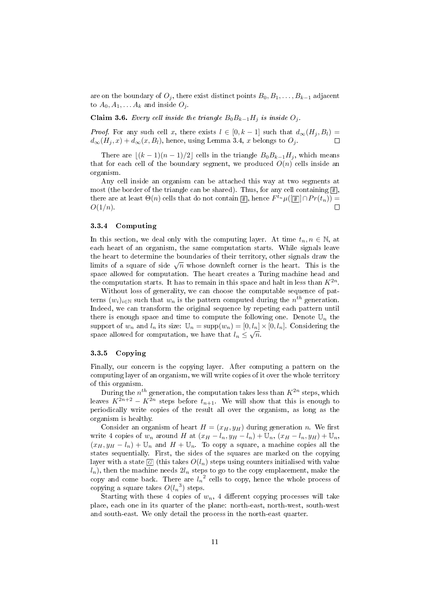are on the boundary of  $O_i$ , there exist distinct points  $B_0, B_1, \ldots, B_{k-1}$  adjacent to  $A_0, A_1, \ldots, A_k$  and inside  $O_j$ .

Claim 3.6. Every cell inside the triangle  $B_0B_{k-1}H_j$  is inside  $O_j$ .

*Proof.* For any such cell x, there exists  $l \in [0, k-1]$  such that  $d_{\infty}(H_j, B_l) =$ <br> $d_{\infty}(H_i, x) + d_{\infty}(x, B_l)$ , hence, using Lemma 3.4, x belongs to  $O_i$ .  $d_{\infty}(H_j, x) + d_{\infty}(x, B_l)$ , hence, using Lemma 3.4, x belongs to  $O_j$ .

There are  $|(k - 1)(n - 1)/2|$  cells in the triangle  $B_0B_{k-1}H_i$ , which means that for each cell of the boundary segment, we produced  $O(n)$  cells inside an organism.

Any cell inside an organism can be attached this way at two segments at most (the border of the triangle can be shared). Thus, for any cell containing  $\boxplus$  , there are at least  $\Theta(n)$  cells that do not contain  $[\frac{\pi}{2}]$ , hence  $F^{t_n}\mu([\frac{\pi}{2}]\cap Pr(t_n))=$  $O(1/n)$ .

#### 3.3.4 Computing

In this section, we deal only with the computing layer. At time  $t_n, n \in \mathbb{N}$ , at each heart of an organism, the same computation starts. While signals leave the heart to determine the boundaries of their territory, other signals draw the limits of a square of side  $\sqrt{n}$  whose downleft corner is the heart. This is the space allowed for computation. The heart creates a Turing machine head and the computation starts. It has to remain in this space and halt in less than  $K^{2n}$ .

Without loss of generality, we can choose the computable sequence of patterns  $(w_i)_{i \in \mathbb{N}}$  such that  $w_n$  is the pattern computed during the  $n^{th}$  generation. Indeed, we can transform the original sequence by repeting each pattern until there is enough space and time to compute the following one. Denote  $\mathbb{U}_n$  the support of  $w_n$  and  $l_n$  its size:  $\mathbb{U}_n = \text{supp}(w_n) = [0, l_n] \times [0, l_n]$ . Considering the space allowed for computation, we have that  $l_n \leq \sqrt{n}$ .

#### 3.3.5 Copying

Finally, our concern is the copying layer. After computing a pattern on the computing layer of an organism, we will write copies of it over the whole territory of this organism.

During the  $n^{th}$  generation, the computation takes less than  $K^{2n}$  steps, which leaves  $K^{2n+2} - K^{2n}$  steps before  $t_{n+1}$ . We will show that this is enough to periodically write copies of the result all over the organism, as long as the organism is healthy.

Consider an organism of heart  $H = (x_H, y_H)$  during generation n. We first write 4 copies of  $w_n$  around H at  $(x_H - l_n, y_H - l_n) + \mathbb{U}_n$ ,  $(x_H - l_n, y_H) + \mathbb{U}_n$ ,  $(x_H, y_H - l_n) + \mathbb{U}_n$  and  $H + \mathbb{U}_n$ . To copy a square, a machine copies all the states sequentially. First, the sides of the squares are marked on the copying layer with a state  $\varpi$  (this takes  $O(l_n)$  steps using counters initialised with value  $\left( l_{n}\right) ,$  then the machine needs  $2l_{n}$  steps to go to the copy emplacement, make the copy and come back. There are  $l_n^2$  cells to copy, hence the whole process of copying a square takes  $O(l_n^3)$  steps.

Starting with these 4 copies of  $w_n$ , 4 different copying processes will take place, each one in its quarter of the plane: north-east, north-west, south-west and south-east. We only detail the process in the north-east quarter.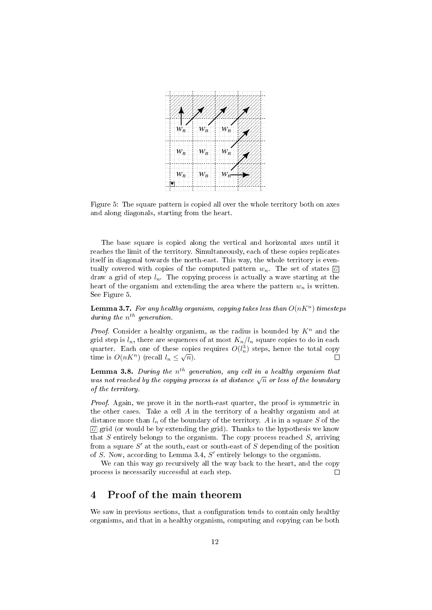

Figure 5: The square pattern is copied all over the whole territory both on axes and along diagonals, starting from the heart.

The base square is copied along the vertical and horizontal axes until it reaches the limit of the territory. Simultaneously, each of these copies replicates itself in diagonal towards the north-east. This way, the whole territory is eventually covered with copies of the computed pattern  $w_n$ . The set of states  $\overline{G}$ draw a grid of step  $l_n$ . The copying process is actually a wave starting at the heart of the organism and extending the area where the pattern  $w_n$  is written. See Figure 5.

**Lemma 3.7.** For any healthy organism, copying takes less than  $O(nK^n)$  timesteps during the  $n^{th}$  generation.

*Proof.* Consider a healthy organism, as the radius is bounded by  $K<sup>n</sup>$  and the grid step is  $l_n$ , there are sequences of at most  $K_n/l_n$  square copies to do in each quarter. Each one of these copies requires  $O(l_n^3)$  steps, hence the total copy time is  $O(nK^n)$  (recall  $l_n \leq \sqrt{n}$ ).  $\Box$ 

**Lemma 3.8.** During the  $n^{th}$  generation, any cell in a healthy organism that was not reached by the copying process is at distance  $\sqrt{n}$  or less of the boundary of the territory.

Proof. Again, we prove it in the north-east quarter, the proof is symmetric in the other cases. Take a cell  $A$  in the territory of a healthy organism and at distance more than  $l_n$  of the boundary of the territory. A is in a square S of the  $\overline{G}$  grid (or would be by extending the grid). Thanks to the hypothesis we know that  $S$  entirely belongs to the organism. The copy process reached  $S$ , arriving from a square  $S'$  at the south, east or south-east of  $S$  depending of the position of  $S$ . Now, according to Lemma 3.4,  $S'$  entirely belongs to the organism.

We can this way go recursively all the way back to the heart, and the copy process is necessarily successful at each step.  $\Box$ 

# 4 Proof of the main theorem

We saw in previous sections, that a configuration tends to contain only healthy organisms, and that in a healthy organism, computing and copying can be both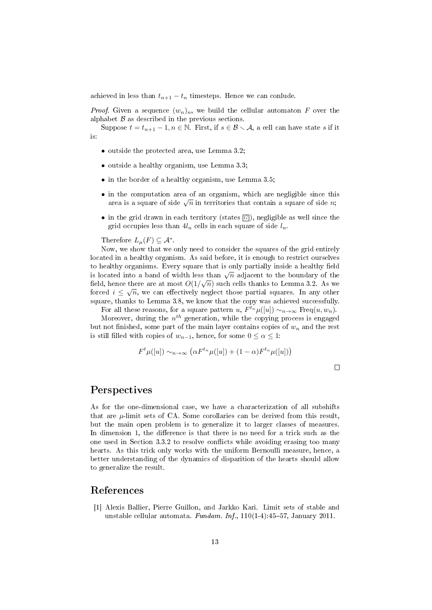achieved in less than  $t_{n+1} - t_n$  timesteps. Hence we can conlude.

*Proof.* Given a sequence  $(w_n)_n$ , we build the cellular automaton F over the alphabet  $\beta$  as described in the previous sections.

Suppose  $t = t_{n+1} - 1, n \in \mathbb{N}$ . First, if  $s \in \mathcal{B} \setminus \mathcal{A}$ , a cell can have state s if it is:

- outside the protected area, use Lemma 3.2;
- outside a healthy organism, use Lemma 3.3;
- in the border of a healthy organism, use Lemma 3.5;
- in the computation area of an organism, which are negligible since this area is a square of side  $\sqrt{n}$  in territories that contain a square of side n;
- in the grid drawn in each territory (states  $\boxed{G}$ ), negligible as well since the grid occupies less than  $4l_n$  cells in each square of side  $l_n$ .

Therefore  $L_{\mu}(F) \subseteq \mathcal{A}^*$ .

Now, we show that we only need to consider the squares of the grid entirely located in a healthy organism. As said before, it is enough to restrict ourselves to healthy organisms. Every square that is only partially inside a healthy field is located into a band of width less than  $\sqrt{n}$  adjacent to the boundary of the field, hence there are at most  $O(1/\sqrt{n})$  such cells thanks to Lemma 3.2. As we forced  $i \leq \sqrt{n}$ , we can effectively neglect those partial squares. In any other square, thanks to Lemma 3.8, we know that the copy was achieved successfully.

For all these reasons, for a square pattern u,  $F^{t_n} \mu([u]) \sim_{n \to \infty} \text{Freq}(u, w_n)$ .

Moreover, during the  $n^{th}$  generation, while the copying process is engaged but not finished, some part of the main layer contains copies of  $w_n$  and the rest is still filled with copies of  $w_{n-1}$ , hence, for some  $0 \leq \alpha \leq 1$ :

$$
F^{t}\mu([u]) \sim_{n \to \infty} (\alpha F^{t_n}\mu([u]) + (1 - \alpha)F^{t_n}\mu([u]))
$$

 $\Box$ 

## Perspectives

As for the one-dimensional case, we have a characterization of all subshifts that are  $\mu$ -limit sets of CA. Some corollaries can be derived from this result, but the main open problem is to generalize it to larger classes of measures. In dimension 1, the difference is that there is no need for a trick such as the one used in Section 3.3.2 to resolve conflicts while avoiding erasing too many hearts. As this trick only works with the uniform Bernoulli measure, hence, a better understanding of the dynamics of disparition of the hearts should allow to generalize the result.

# References

[1] Alexis Ballier, Pierre Guillon, and Jarkko Kari. Limit sets of stable and unstable cellular automata. Fundam. Inf.,  $110(1-4):45-57$ , January 2011.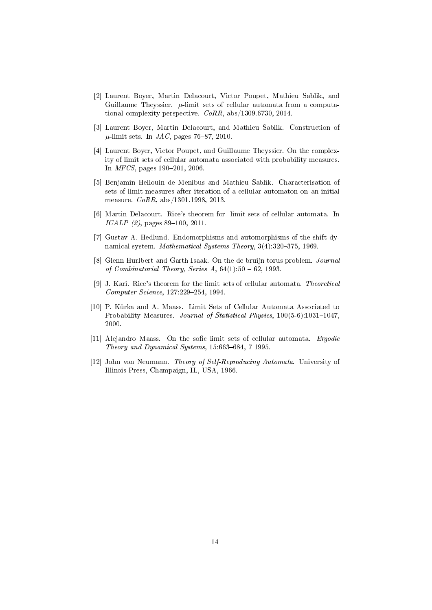- [2] Laurent Boyer, Martin Delacourt, Victor Poupet, Mathieu Sablik, and Guillaume Theyssier.  $\mu$ -limit sets of cellular automata from a computational complexity perspective.  $CoRR$ , abs/1309.6730, 2014.
- [3] Laurent Boyer, Martin Delacourt, and Mathieu Sablik. Construction of  $\mu$ -limit sets. In *JAC*, pages 76–87, 2010.
- [4] Laurent Boyer, Victor Poupet, and Guillaume Theyssier. On the complexity of limit sets of cellular automata associated with probability measures. In *MFCS*, pages  $190-201$ , 2006.
- [5] Benjamin Hellouin de Menibus and Mathieu Sablik. Characterisation of sets of limit measures after iteration of a cellular automaton on an initial measure. CoRR, abs/1301.1998, 2013.
- [6] Martin Delacourt. Rice's theorem for -limit sets of cellular automata. In  $ICALP$  (2), pages 89-100, 2011.
- [7] Gustav A. Hedlund. Endomorphisms and automorphisms of the shift dynamical system. Mathematical Systems Theory,  $3(4):320-375$ , 1969.
- [8] Glenn Hurlbert and Garth Isaak. On the de bruijn torus problem. Journal of Combinatorial Theory, Series A,  $64(1):50 - 62$ , 1993.
- [9] J. Kari. Rice's theorem for the limit sets of cellular automata. Theoretical Computer Science, 127:229-254, 1994.
- [10] P. Kurka and A. Maass. Limit Sets of Cellular Automata Associated to Probability Measures. Journal of Statistical Physics,  $100(5-6)$ : 1031-1047, 2000.
- [11] Alejandro Maass. On the sofic limit sets of cellular automata. Ergodic Theory and Dynamical Systems,  $15.663-684$ ,  $7 1995$ .
- [12] John von Neumann. Theory of Self-Reproducing Automata. University of Illinois Press, Champaign, IL, USA, 1966.